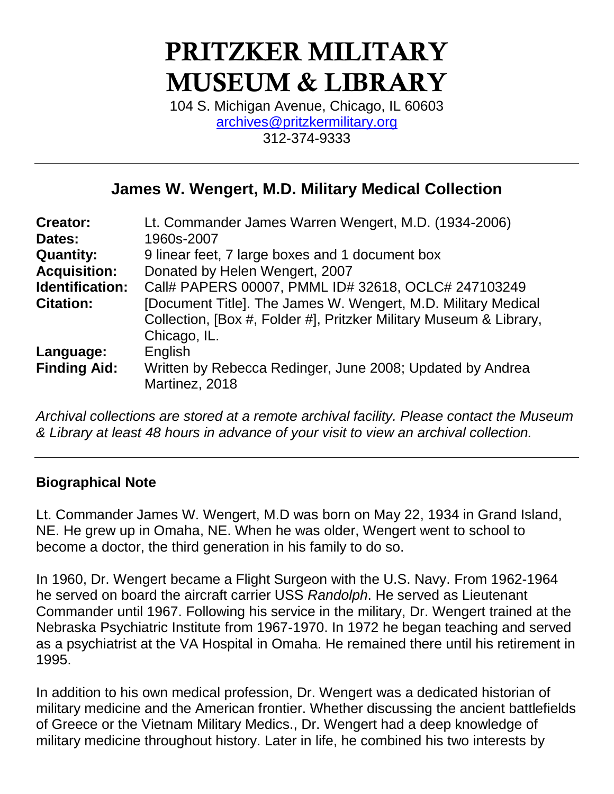# PRITZKER MILITARY MUSEUM & LIBRARY

104 S. Michigan Avenue, Chicago, IL 60603 [archives@pritzkermilitary.org](mailto:archives@pritzkermilitary.org) 312-374-9333

# **James W. Wengert, M.D. Military Medical Collection**

| <b>Creator:</b>        | Lt. Commander James Warren Wengert, M.D. (1934-2006)               |
|------------------------|--------------------------------------------------------------------|
| Dates:                 | 1960s-2007                                                         |
| <b>Quantity:</b>       | 9 linear feet, 7 large boxes and 1 document box                    |
| <b>Acquisition:</b>    | Donated by Helen Wengert, 2007                                     |
| <b>Identification:</b> | Call# PAPERS 00007, PMML ID# 32618, OCLC# 247103249                |
| <b>Citation:</b>       | [Document Title]. The James W. Wengert, M.D. Military Medical      |
|                        | Collection, [Box #, Folder #], Pritzker Military Museum & Library, |
|                        | Chicago, IL.                                                       |
| Language:              | English                                                            |
| <b>Finding Aid:</b>    | Written by Rebecca Redinger, June 2008; Updated by Andrea          |
|                        | Martinez, 2018                                                     |
|                        |                                                                    |

*Archival collections are stored at a remote archival facility. Please contact the Museum & Library at least 48 hours in advance of your visit to view an archival collection.*

#### **Biographical Note**

Lt. Commander James W. Wengert, M.D was born on May 22, 1934 in Grand Island, NE. He grew up in Omaha, NE. When he was older, Wengert went to school to become a doctor, the third generation in his family to do so.

In 1960, Dr. Wengert became a Flight Surgeon with the U.S. Navy. From 1962-1964 he served on board the aircraft carrier USS *Randolph*. He served as Lieutenant Commander until 1967. Following his service in the military, Dr. Wengert trained at the Nebraska Psychiatric Institute from 1967-1970. In 1972 he began teaching and served as a psychiatrist at the VA Hospital in Omaha. He remained there until his retirement in 1995.

In addition to his own medical profession, Dr. Wengert was a dedicated historian of military medicine and the American frontier. Whether discussing the ancient battlefields of Greece or the Vietnam Military Medics., Dr. Wengert had a deep knowledge of military medicine throughout history. Later in life, he combined his two interests by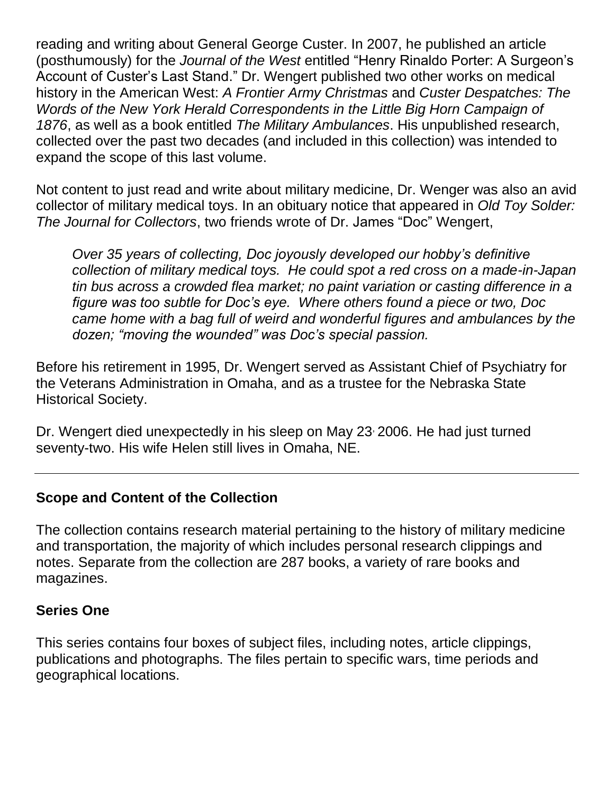reading and writing about General George Custer. In 2007, he published an article (posthumously) for the *Journal of the West* entitled "Henry Rinaldo Porter: A Surgeon's Account of Custer's Last Stand." Dr. Wengert published two other works on medical history in the American West: *A Frontier Army Christmas* and *Custer Despatches: The Words of the New York Herald Correspondents in the Little Big Horn Campaign of 1876*, as well as a book entitled *The Military Ambulances*. His unpublished research, collected over the past two decades (and included in this collection) was intended to expand the scope of this last volume.

Not content to just read and write about military medicine, Dr. Wenger was also an avid collector of military medical toys. In an obituary notice that appeared in *Old Toy Solder: The Journal for Collectors*, two friends wrote of Dr. James "Doc" Wengert,

*Over 35 years of collecting, Doc joyously developed our hobby's definitive collection of military medical toys. He could spot a red cross on a made-in-Japan tin bus across a crowded flea market; no paint variation or casting difference in a figure was too subtle for Doc's eye. Where others found a piece or two, Doc came home with a bag full of weird and wonderful figures and ambulances by the dozen; "moving the wounded" was Doc's special passion.* 

Before his retirement in 1995, Dr. Wengert served as Assistant Chief of Psychiatry for the Veterans Administration in Omaha, and as a trustee for the Nebraska State Historical Society.

Dr. Wengert died unexpectedly in his sleep on May 23 2006. He had just turned seventy-two. His wife Helen still lives in Omaha, NE.

# **Scope and Content of the Collection**

The collection contains research material pertaining to the history of military medicine and transportation, the majority of which includes personal research clippings and notes. Separate from the collection are 287 books, a variety of rare books and magazines.

#### **Series One**

This series contains four boxes of subject files, including notes, article clippings, publications and photographs. The files pertain to specific wars, time periods and geographical locations.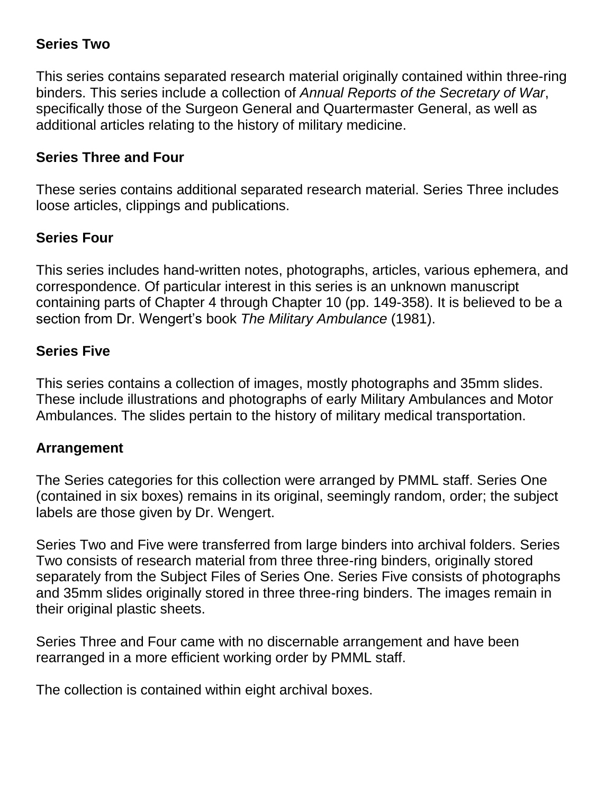# **Series Two**

This series contains separated research material originally contained within three-ring binders. This series include a collection of *Annual Reports of the Secretary of War*, specifically those of the Surgeon General and Quartermaster General, as well as additional articles relating to the history of military medicine.

## **Series Three and Four**

These series contains additional separated research material. Series Three includes loose articles, clippings and publications.

# **Series Four**

This series includes hand-written notes, photographs, articles, various ephemera, and correspondence. Of particular interest in this series is an unknown manuscript containing parts of Chapter 4 through Chapter 10 (pp. 149-358). It is believed to be a section from Dr. Wengert's book *The Military Ambulance* (1981).

# **Series Five**

This series contains a collection of images, mostly photographs and 35mm slides. These include illustrations and photographs of early Military Ambulances and Motor Ambulances. The slides pertain to the history of military medical transportation.

#### **Arrangement**

The Series categories for this collection were arranged by PMML staff. Series One (contained in six boxes) remains in its original, seemingly random, order; the subject labels are those given by Dr. Wengert.

Series Two and Five were transferred from large binders into archival folders. Series Two consists of research material from three three-ring binders, originally stored separately from the Subject Files of Series One. Series Five consists of photographs and 35mm slides originally stored in three three-ring binders. The images remain in their original plastic sheets.

Series Three and Four came with no discernable arrangement and have been rearranged in a more efficient working order by PMML staff.

The collection is contained within eight archival boxes.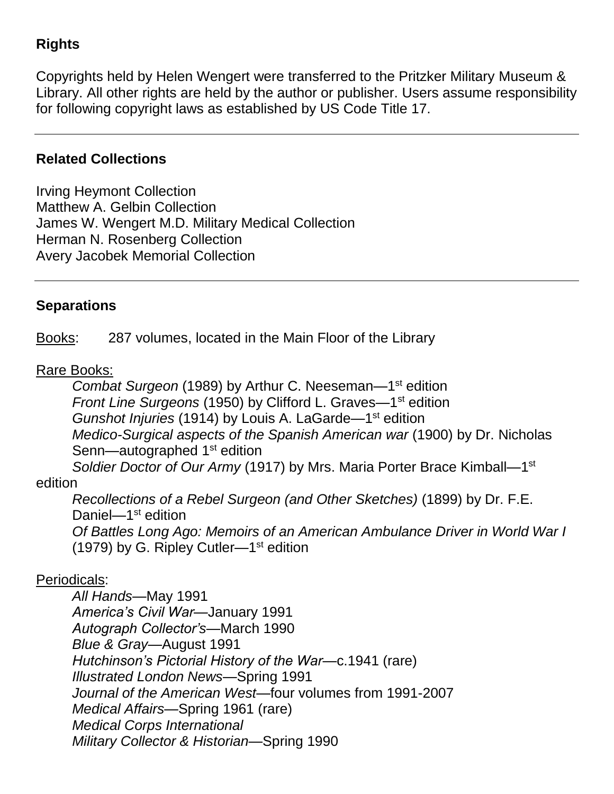# **Rights**

Copyrights held by Helen Wengert were transferred to the Pritzker Military Museum & Library. All other rights are held by the author or publisher. Users assume responsibility for following copyright laws as established by US Code Title 17.

#### **Related Collections**

Irving Heymont Collection Matthew A. Gelbin Collection James W. Wengert M.D. Military Medical Collection Herman N. Rosenberg Collection Avery Jacobek Memorial Collection

#### **Separations**

Books: 287 volumes, located in the Main Floor of the Library

#### Rare Books:

Combat Surgeon (1989) by Arthur C. Neeseman-1<sup>st</sup> edition Front Line Surgeons (1950) by Clifford L. Graves-1<sup>st</sup> edition Gunshot Injuries (1914) by Louis A. LaGarde-1<sup>st</sup> edition *Medico-Surgical aspects of the Spanish American war* (1900) by Dr. Nicholas Senn—autographed 1<sup>st</sup> edition Soldier Doctor of Our Army (1917) by Mrs. Maria Porter Brace Kimball-1<sup>st</sup>

#### edition

*Recollections of a Rebel Surgeon (and Other Sketches)* (1899) by Dr. F.E. Daniel-1<sup>st</sup> edition *Of Battles Long Ago: Memoirs of an American Ambulance Driver in World War I* (1979) by G. Ripley Cutler—1<sup>st</sup> edition

#### Periodicals:

*All Hands*—May 1991 *America's Civil War*—January 1991 *Autograph Collector's—*March 1990 *Blue & Gray*—August 1991 *Hutchinson's Pictorial History of the War*—c.1941 (rare) *Illustrated London News*—Spring 1991 *Journal of the American West*—four volumes from 1991-2007 *Medical Affairs*—Spring 1961 (rare) *Medical Corps International Military Collector & Historian*—Spring 1990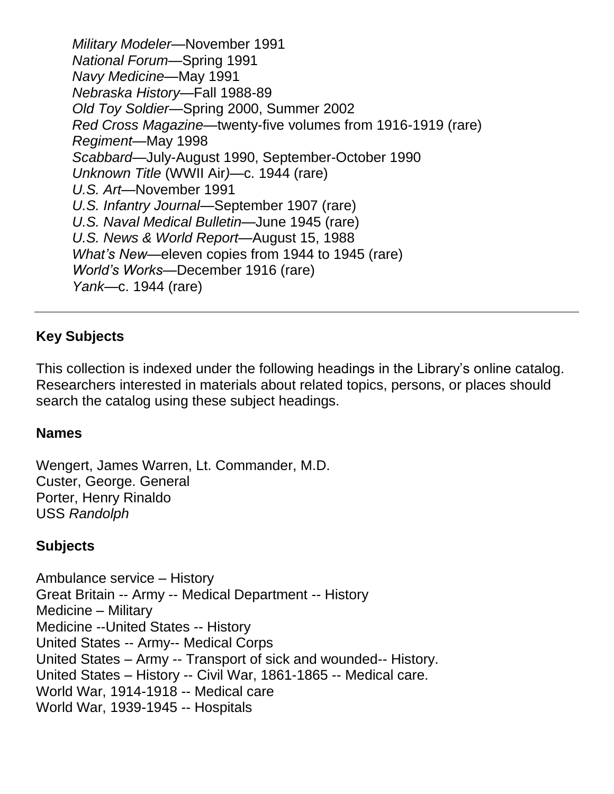*Military Modeler*—November 1991 *National Forum*—Spring 1991 *Navy Medicine*—May 1991 *Nebraska History*—Fall 1988-89 *Old Toy Soldier*—Spring 2000, Summer 2002 *Red Cross Magazine*—twenty-five volumes from 1916-1919 (rare) *Regiment*—May 1998 *Scabbard*—July-August 1990, September-October 1990 *Unknown Title* (WWII Air*)*—c. 1944 (rare) *U.S. Art*—November 1991 *U.S. Infantry Journal*—September 1907 (rare) *U.S. Naval Medical Bulletin*—June 1945 (rare) *U.S. News & World Report*—August 15, 1988 *What's New*—eleven copies from 1944 to 1945 (rare) *World's Works*—December 1916 (rare) *Yank*—c. 1944 (rare)

# **Key Subjects**

This collection is indexed under the following headings in the Library's online catalog. Researchers interested in materials about related topics, persons, or places should search the catalog using these subject headings.

#### **Names**

Wengert, James Warren, Lt. Commander, M.D. Custer, George. General Porter, Henry Rinaldo USS *Randolph*

#### **Subjects**

Ambulance service – History Great Britain -- Army -- Medical Department -- History Medicine – Military Medicine --United States -- History United States -- Army-- Medical Corps United States – Army -- Transport of sick and wounded-- History. United States – History -- Civil War, 1861-1865 -- Medical care. World War, 1914-1918 -- Medical care World War, 1939-1945 -- Hospitals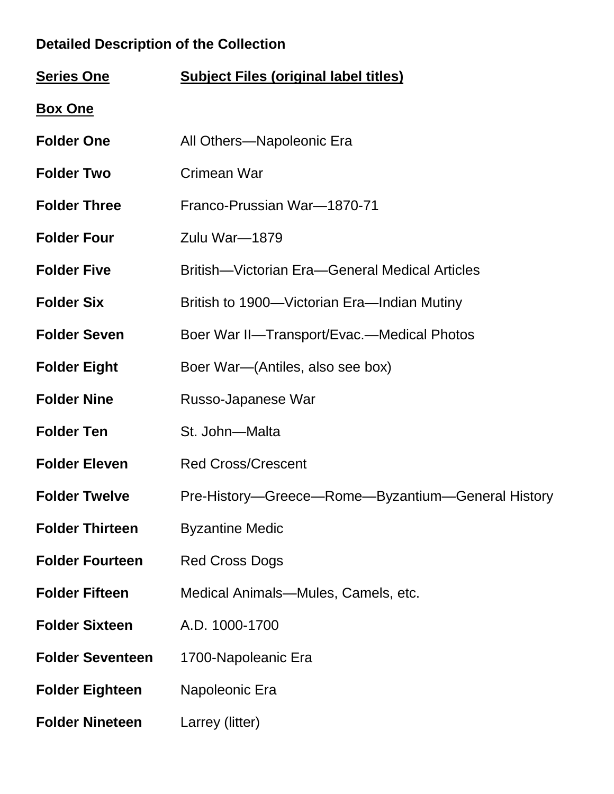# **Detailed Description of the Collection**

| <b>Series One</b>       | <b>Subject Files (original label titles)</b>      |
|-------------------------|---------------------------------------------------|
| <b>Box One</b>          |                                                   |
| <b>Folder One</b>       | All Others-Napoleonic Era                         |
| <b>Folder Two</b>       | Crimean War                                       |
| <b>Folder Three</b>     | Franco-Prussian War-1870-71                       |
| <b>Folder Four</b>      | Zulu War-1879                                     |
| <b>Folder Five</b>      | British—Victorian Era—General Medical Articles    |
| <b>Folder Six</b>       | British to 1900—Victorian Era—Indian Mutiny       |
| <b>Folder Seven</b>     | Boer War II-Transport/Evac.-Medical Photos        |
| <b>Folder Eight</b>     | Boer War—(Antiles, also see box)                  |
| <b>Folder Nine</b>      | Russo-Japanese War                                |
| <b>Folder Ten</b>       | St. John-Malta                                    |
| <b>Folder Eleven</b>    | <b>Red Cross/Crescent</b>                         |
| <b>Folder Twelve</b>    | Pre-History-Greece-Rome-Byzantium-General History |
| <b>Folder Thirteen</b>  | <b>Byzantine Medic</b>                            |
| <b>Folder Fourteen</b>  | <b>Red Cross Dogs</b>                             |
| <b>Folder Fifteen</b>   | Medical Animals—Mules, Camels, etc.               |
| <b>Folder Sixteen</b>   | A.D. 1000-1700                                    |
| <b>Folder Seventeen</b> | 1700-Napoleanic Era                               |
| <b>Folder Eighteen</b>  | Napoleonic Era                                    |
| <b>Folder Nineteen</b>  | Larrey (litter)                                   |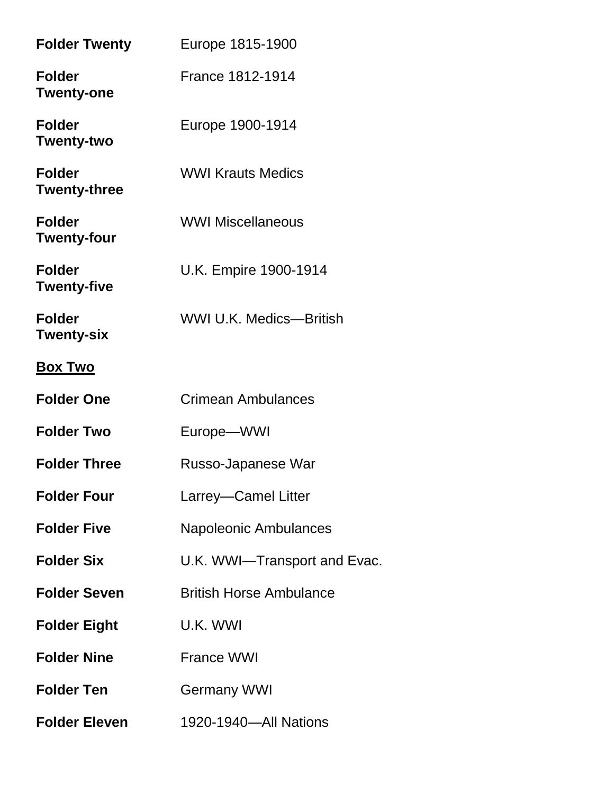| <b>Folder Twenty</b>                 | Europe 1815-1900               |
|--------------------------------------|--------------------------------|
| <b>Folder</b><br><b>Twenty-one</b>   | <b>France 1812-1914</b>        |
| <b>Folder</b><br><b>Twenty-two</b>   | Europe 1900-1914               |
| <b>Folder</b><br><b>Twenty-three</b> | <b>WWI Krauts Medics</b>       |
| <b>Folder</b><br><b>Twenty-four</b>  | <b>WWI Miscellaneous</b>       |
| <b>Folder</b><br><b>Twenty-five</b>  | U.K. Empire 1900-1914          |
| <b>Folder</b><br><b>Twenty-six</b>   | <b>WWI U.K. Medics-British</b> |
| <b>Box Two</b>                       |                                |
| <b>Folder One</b>                    | Crimean Ambulances             |
| <b>Folder Two</b>                    | Europe-WWI                     |
| <b>Folder Three</b>                  | Russo-Japanese War             |
| <b>Folder Four</b>                   | Larrey-Camel Litter            |
| <b>Folder Five</b>                   | <b>Napoleonic Ambulances</b>   |
| <b>Folder Six</b>                    | U.K. WWI—Transport and Evac.   |
| <b>Folder Seven</b>                  | <b>British Horse Ambulance</b> |
| <b>Folder Eight</b>                  | U.K. WWI                       |
| <b>Folder Nine</b>                   | <b>France WWI</b>              |
| <b>Folder Ten</b>                    | <b>Germany WWI</b>             |
|                                      |                                |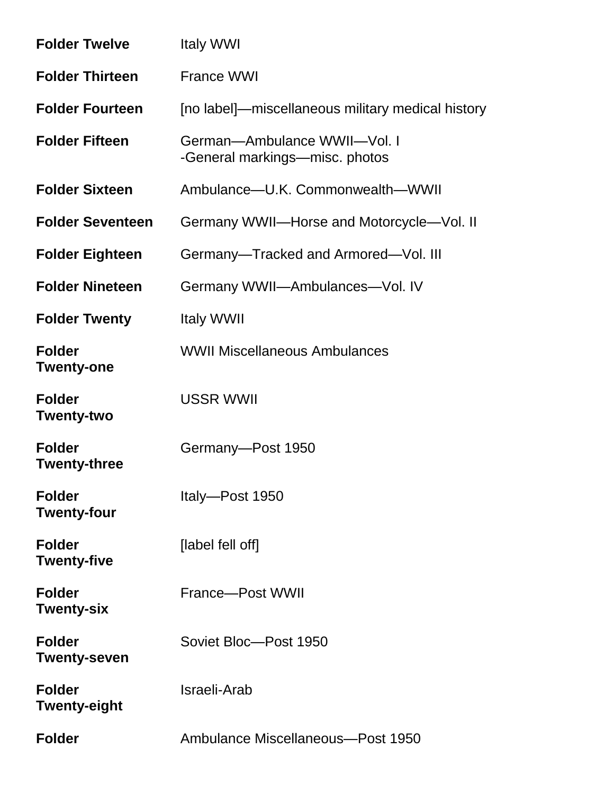| <b>Folder Twelve</b>                 | <b>Italy WWI</b>                                               |
|--------------------------------------|----------------------------------------------------------------|
| <b>Folder Thirteen</b>               | <b>France WWI</b>                                              |
| <b>Folder Fourteen</b>               | [no label]—miscellaneous military medical history              |
| <b>Folder Fifteen</b>                | German-Ambulance WWII-Vol. I<br>-General markings—misc. photos |
| <b>Folder Sixteen</b>                | Ambulance-U.K. Commonwealth-WWII                               |
| <b>Folder Seventeen</b>              | Germany WWII-Horse and Motorcycle-Vol. II                      |
| <b>Folder Eighteen</b>               | Germany-Tracked and Armored-Vol. III                           |
| <b>Folder Nineteen</b>               | Germany WWII-Ambulances-Vol. IV                                |
| <b>Folder Twenty</b>                 | <b>Italy WWII</b>                                              |
| <b>Folder</b><br><b>Twenty-one</b>   | <b>WWII Miscellaneous Ambulances</b>                           |
| <b>Folder</b><br><b>Twenty-two</b>   | <b>USSR WWII</b>                                               |
| <b>Folder</b><br>Twenty-three        | Germany-Post 1950                                              |
| <b>Folder</b><br><b>Twenty-four</b>  | Italy-Post 1950                                                |
| <b>Folder</b><br><b>Twenty-five</b>  | [label fell off]                                               |
| <b>Folder</b><br><b>Twenty-six</b>   | France-Post WWII                                               |
| <b>Folder</b><br><b>Twenty-seven</b> | Soviet Bloc-Post 1950                                          |
| <b>Folder</b><br><b>Twenty-eight</b> | Israeli-Arab                                                   |
| <b>Folder</b>                        | Ambulance Miscellaneous-Post 1950                              |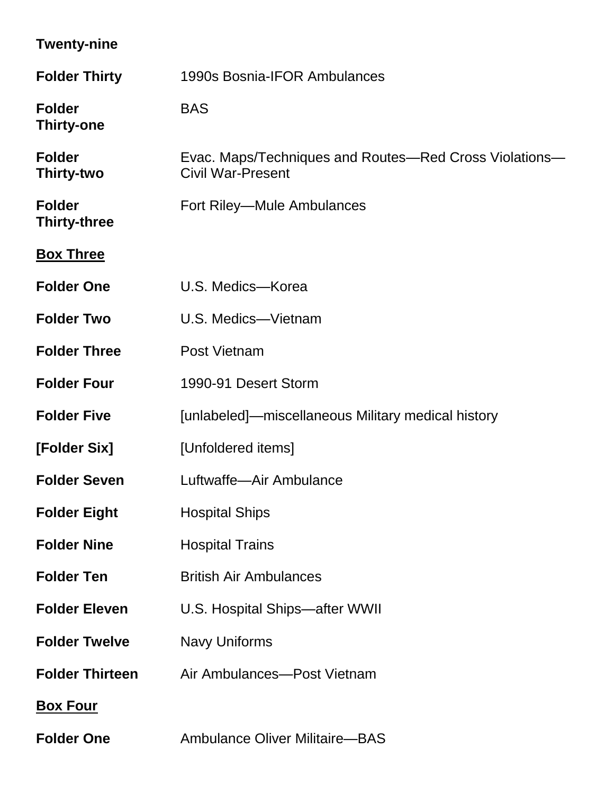| <b>Twenty-nine</b>                   |                                                                                    |
|--------------------------------------|------------------------------------------------------------------------------------|
| <b>Folder Thirty</b>                 | 1990s Bosnia-IFOR Ambulances                                                       |
| <b>Folder</b><br><b>Thirty-one</b>   | <b>BAS</b>                                                                         |
| <b>Folder</b><br>Thirty-two          | Evac. Maps/Techniques and Routes—Red Cross Violations—<br><b>Civil War-Present</b> |
| <b>Folder</b><br><b>Thirty-three</b> | Fort Riley-Mule Ambulances                                                         |
| <b>Box Three</b>                     |                                                                                    |
| <b>Folder One</b>                    | U.S. Medics-Korea                                                                  |
| <b>Folder Two</b>                    | U.S. Medics-Vietnam                                                                |
| <b>Folder Three</b>                  | Post Vietnam                                                                       |
| <b>Folder Four</b>                   | 1990-91 Desert Storm                                                               |
| <b>Folder Five</b>                   | [unlabeled]—miscellaneous Military medical history                                 |
| [Folder Six]                         | [Unfoldered items]                                                                 |
| <b>Folder Seven</b>                  | Luftwaffe-Air Ambulance                                                            |
| <b>Folder Eight</b>                  | <b>Hospital Ships</b>                                                              |
| <b>Folder Nine</b>                   | <b>Hospital Trains</b>                                                             |
| <b>Folder Ten</b>                    | <b>British Air Ambulances</b>                                                      |
| <b>Folder Eleven</b>                 | U.S. Hospital Ships-after WWII                                                     |
| <b>Folder Twelve</b>                 | <b>Navy Uniforms</b>                                                               |
| <b>Folder Thirteen</b>               | Air Ambulances-Post Vietnam                                                        |
| <b>Box Four</b>                      |                                                                                    |
| <b>Folder One</b>                    | <b>Ambulance Oliver Militaire-BAS</b>                                              |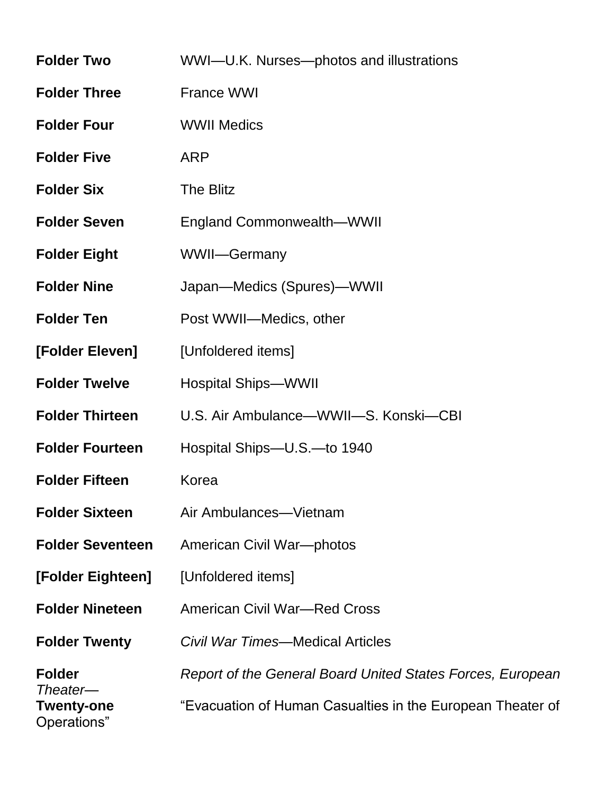| <b>Folder Two</b>                | WWI-U.K. Nurses-photos and illustrations                   |
|----------------------------------|------------------------------------------------------------|
| <b>Folder Three</b>              | France WWI                                                 |
| <b>Folder Four</b>               | <b>WWII Medics</b>                                         |
| <b>Folder Five</b>               | <b>ARP</b>                                                 |
| <b>Folder Six</b>                | The Blitz                                                  |
| <b>Folder Seven</b>              | <b>England Commonwealth—WWII</b>                           |
| <b>Folder Eight</b>              | WWII-Germany                                               |
| <b>Folder Nine</b>               | Japan-Medics (Spures)-WWII                                 |
| <b>Folder Ten</b>                | Post WWII-Medics, other                                    |
| [Folder Eleven]                  | [Unfoldered items]                                         |
| <b>Folder Twelve</b>             | <b>Hospital Ships-WWII</b>                                 |
| <b>Folder Thirteen</b>           | U.S. Air Ambulance—WWII—S. Konski—CBI                      |
| <b>Folder Fourteen</b>           | Hospital Ships-U.S.-to 1940                                |
| <b>Folder Fifteen</b>            | Korea                                                      |
| <b>Folder Sixteen</b>            | Air Ambulances—Vietnam                                     |
| <b>Folder Seventeen</b>          | American Civil War-photos                                  |
| [Folder Eighteen]                | [Unfoldered items]                                         |
| <b>Folder Nineteen</b>           | <b>American Civil War-Red Cross</b>                        |
| <b>Folder Twenty</b>             | <b>Civil War Times—Medical Articles</b>                    |
| <b>Folder</b><br>Theater-        | Report of the General Board United States Forces, European |
| <b>Twenty-one</b><br>Operations" | "Evacuation of Human Casualties in the European Theater of |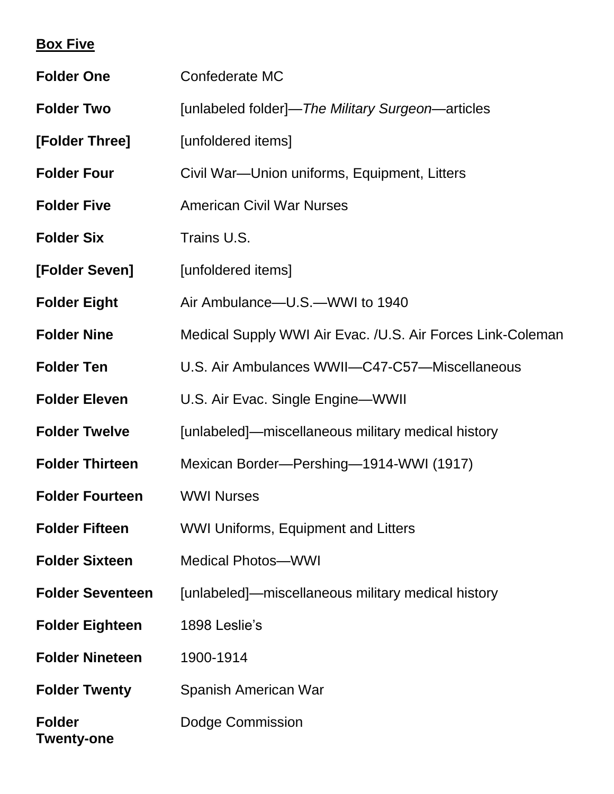# **Box Five**

| <b>Folder One</b>           | Confederate MC                                             |
|-----------------------------|------------------------------------------------------------|
| <b>Folder Two</b>           | [unlabeled folder]—The Military Surgeon—articles           |
| [Folder Three]              | [unfoldered items]                                         |
| <b>Folder Four</b>          | Civil War-Union uniforms, Equipment, Litters               |
| <b>Folder Five</b>          | <b>American Civil War Nurses</b>                           |
| <b>Folder Six</b>           | Trains U.S.                                                |
| [Folder Seven]              | [unfoldered items]                                         |
| <b>Folder Eight</b>         | Air Ambulance-U.S.-WWI to 1940                             |
| <b>Folder Nine</b>          | Medical Supply WWI Air Evac. /U.S. Air Forces Link-Coleman |
| <b>Folder Ten</b>           | U.S. Air Ambulances WWII-C47-C57-Miscellaneous             |
| <b>Folder Eleven</b>        | U.S. Air Evac. Single Engine-WWII                          |
| <b>Folder Twelve</b>        | [unlabeled]—miscellaneous military medical history         |
| <b>Folder Thirteen</b>      | Mexican Border-Pershing-1914-WWI (1917)                    |
| <b>Folder Fourteen</b>      | <b>WWI Nurses</b>                                          |
| <b>Folder Fifteen</b>       | <b>WWI Uniforms, Equipment and Litters</b>                 |
| <b>Folder Sixteen</b>       | <b>Medical Photos-WWI</b>                                  |
| <b>Folder Seventeen</b>     | [unlabeled]—miscellaneous military medical history         |
| <b>Folder Eighteen</b>      | 1898 Leslie's                                              |
| <b>Folder Nineteen</b>      | 1900-1914                                                  |
| <b>Folder Twenty</b>        | Spanish American War                                       |
| <b>Folder</b><br>Twenty-one | Dodge Commission                                           |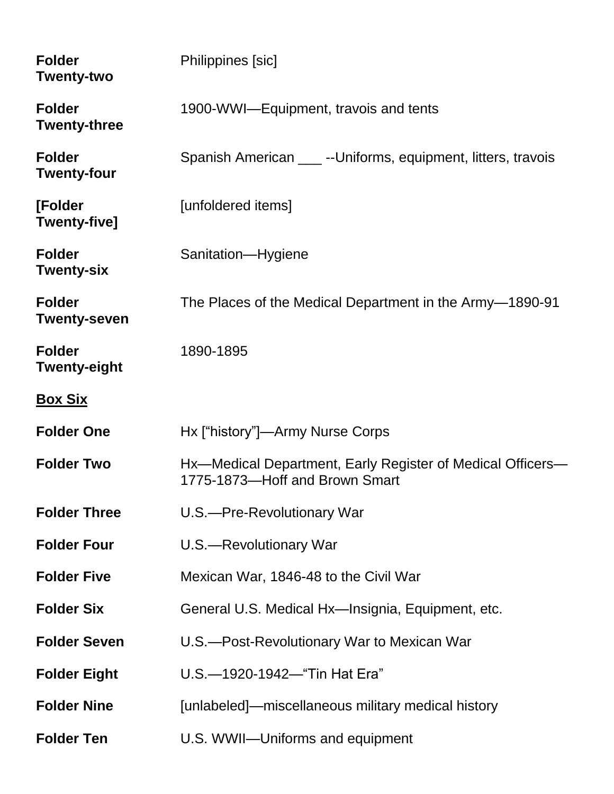| <b>Folder</b><br><b>Twenty-two</b>   | Philippines [sic]                                                                            |
|--------------------------------------|----------------------------------------------------------------------------------------------|
| <b>Folder</b><br><b>Twenty-three</b> | 1900-WWI-Equipment, travois and tents                                                        |
| <b>Folder</b><br><b>Twenty-four</b>  | Spanish American ____ -- Uniforms, equipment, litters, travois                               |
| [Folder<br><b>Twenty-five]</b>       | [unfoldered items]                                                                           |
| <b>Folder</b><br><b>Twenty-six</b>   | Sanitation-Hygiene                                                                           |
| <b>Folder</b><br><b>Twenty-seven</b> | The Places of the Medical Department in the Army–1890-91                                     |
| <b>Folder</b><br><b>Twenty-eight</b> | 1890-1895                                                                                    |
| <u>Box Six</u>                       |                                                                                              |
| <b>Folder One</b>                    | Hx ["history"]—Army Nurse Corps                                                              |
| <b>Folder Two</b>                    | Hx—Medical Department, Early Register of Medical Officers—<br>1775-1873-Hoff and Brown Smart |
| <b>Folder Three</b>                  | U.S.--Pre-Revolutionary War                                                                  |
| <b>Folder Four</b>                   | U.S.-Revolutionary War                                                                       |
| <b>Folder Five</b>                   | Mexican War, 1846-48 to the Civil War                                                        |
| <b>Folder Six</b>                    | General U.S. Medical Hx-Insignia, Equipment, etc.                                            |
| <b>Folder Seven</b>                  | U.S.--Post-Revolutionary War to Mexican War                                                  |
| <b>Folder Eight</b>                  | U.S.-1920-1942-"Tin Hat Era"                                                                 |
| <b>Folder Nine</b>                   | [unlabeled]—miscellaneous military medical history                                           |
| <b>Folder Ten</b>                    | U.S. WWII-Uniforms and equipment                                                             |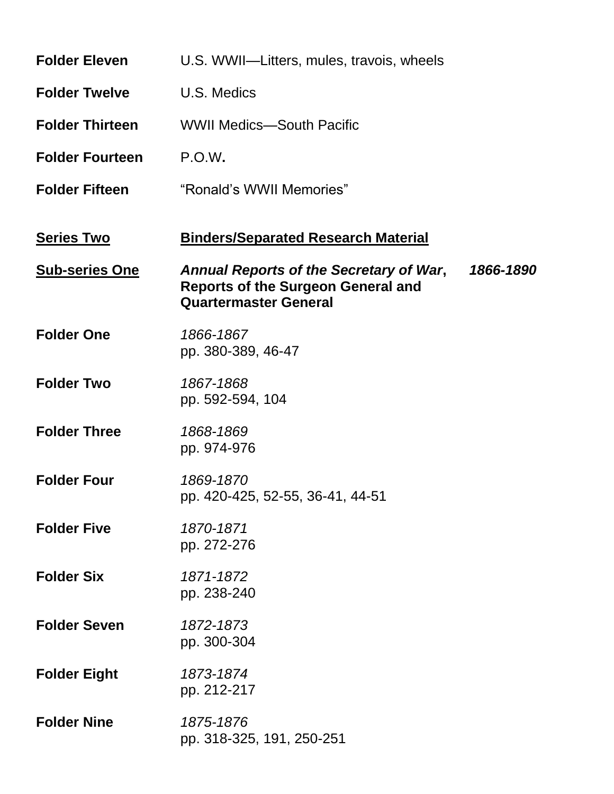| <b>Folder Eleven</b>   | U.S. WWII-Litters, mules, travois, wheels                                                                                                |
|------------------------|------------------------------------------------------------------------------------------------------------------------------------------|
| <b>Folder Twelve</b>   | U.S. Medics                                                                                                                              |
| <b>Folder Thirteen</b> | <b>WWII Medics-South Pacific</b>                                                                                                         |
| <b>Folder Fourteen</b> | P.O.W.                                                                                                                                   |
| <b>Folder Fifteen</b>  | "Ronald's WWII Memories"                                                                                                                 |
| <b>Series Two</b>      | <b>Binders/Separated Research Material</b>                                                                                               |
| <b>Sub-series One</b>  | <b>Annual Reports of the Secretary of War,</b><br>1866-1890<br><b>Reports of the Surgeon General and</b><br><b>Quartermaster General</b> |
| <b>Folder One</b>      | 1866-1867<br>pp. 380-389, 46-47                                                                                                          |
| <b>Folder Two</b>      | 1867-1868<br>pp. 592-594, 104                                                                                                            |
| <b>Folder Three</b>    | 1868-1869<br>pp. 974-976                                                                                                                 |
| <b>Folder Four</b>     | 1869-1870<br>pp. 420-425, 52-55, 36-41, 44-51                                                                                            |
| <b>Folder Five</b>     | 1870-1871<br>pp. 272-276                                                                                                                 |
| <b>Folder Six</b>      | 1871-1872<br>pp. 238-240                                                                                                                 |
| <b>Folder Seven</b>    | 1872-1873<br>pp. 300-304                                                                                                                 |
| <b>Folder Eight</b>    | 1873-1874<br>pp. 212-217                                                                                                                 |
| <b>Folder Nine</b>     | 1875-1876<br>pp. 318-325, 191, 250-251                                                                                                   |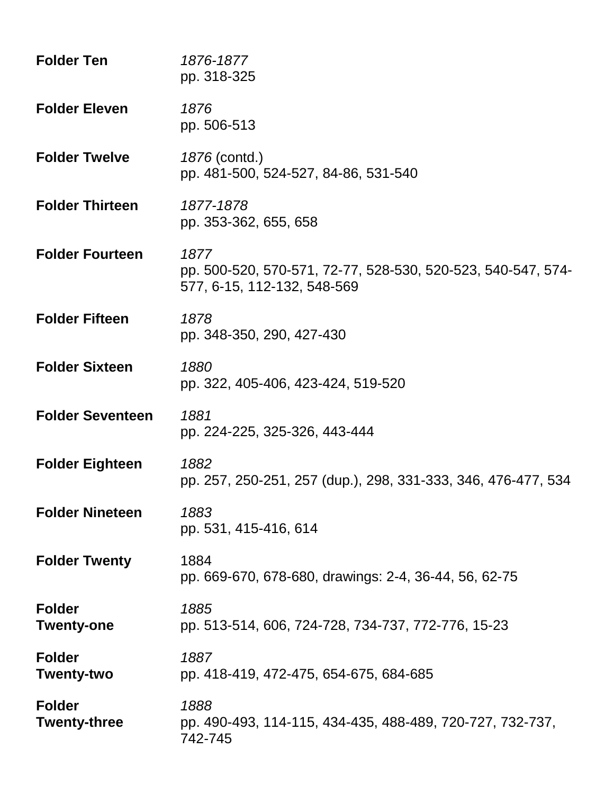| <b>Folder Ten</b>                    | 1876-1877<br>pp. 318-325                                                                            |
|--------------------------------------|-----------------------------------------------------------------------------------------------------|
| <b>Folder Eleven</b>                 | 1876<br>pp. 506-513                                                                                 |
| <b>Folder Twelve</b>                 | 1876 (contd.)<br>pp. 481-500, 524-527, 84-86, 531-540                                               |
| <b>Folder Thirteen</b>               | 1877-1878<br>pp. 353-362, 655, 658                                                                  |
| <b>Folder Fourteen</b>               | 1877<br>pp. 500-520, 570-571, 72-77, 528-530, 520-523, 540-547, 574-<br>577, 6-15, 112-132, 548-569 |
| <b>Folder Fifteen</b>                | 1878<br>pp. 348-350, 290, 427-430                                                                   |
| <b>Folder Sixteen</b>                | 1880<br>pp. 322, 405-406, 423-424, 519-520                                                          |
| <b>Folder Seventeen</b>              | 1881<br>pp. 224-225, 325-326, 443-444                                                               |
| <b>Folder Eighteen</b>               | 1882<br>pp. 257, 250-251, 257 (dup.), 298, 331-333, 346, 476-477, 534                               |
| <b>Folder Nineteen</b>               | 1883<br>pp. 531, 415-416, 614                                                                       |
| <b>Folder Twenty</b>                 | 1884<br>pp. 669-670, 678-680, drawings: 2-4, 36-44, 56, 62-75                                       |
| <b>Folder</b><br><b>Twenty-one</b>   | 1885<br>pp. 513-514, 606, 724-728, 734-737, 772-776, 15-23                                          |
| <b>Folder</b><br>Twenty-two          | 1887<br>pp. 418-419, 472-475, 654-675, 684-685                                                      |
| <b>Folder</b><br><b>Twenty-three</b> | 1888<br>pp. 490-493, 114-115, 434-435, 488-489, 720-727, 732-737,<br>742-745                        |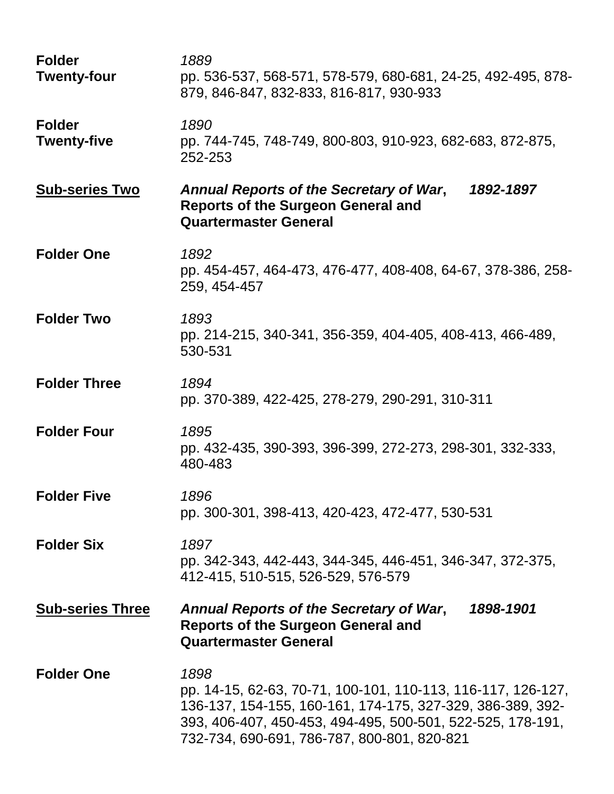| <b>Folder</b><br><b>Twenty-four</b> | 1889<br>pp. 536-537, 568-571, 578-579, 680-681, 24-25, 492-495, 878-<br>879, 846-847, 832-833, 816-817, 930-933                                                                                                                                 |
|-------------------------------------|-------------------------------------------------------------------------------------------------------------------------------------------------------------------------------------------------------------------------------------------------|
| <b>Folder</b><br><b>Twenty-five</b> | 1890<br>pp. 744-745, 748-749, 800-803, 910-923, 682-683, 872-875,<br>252-253                                                                                                                                                                    |
| <b>Sub-series Two</b>               | Annual Reports of the Secretary of War,<br>1892-1897<br><b>Reports of the Surgeon General and</b><br><b>Quartermaster General</b>                                                                                                               |
| <b>Folder One</b>                   | 1892<br>pp. 454-457, 464-473, 476-477, 408-408, 64-67, 378-386, 258-<br>259, 454-457                                                                                                                                                            |
| <b>Folder Two</b>                   | 1893<br>pp. 214-215, 340-341, 356-359, 404-405, 408-413, 466-489,<br>530-531                                                                                                                                                                    |
| <b>Folder Three</b>                 | 1894<br>pp. 370-389, 422-425, 278-279, 290-291, 310-311                                                                                                                                                                                         |
| <b>Folder Four</b>                  | 1895<br>pp. 432-435, 390-393, 396-399, 272-273, 298-301, 332-333,<br>480-483                                                                                                                                                                    |
| <b>Folder Five</b>                  | 1896<br>pp. 300-301, 398-413, 420-423, 472-477, 530-531                                                                                                                                                                                         |
| <b>Folder Six</b>                   | 1897<br>pp. 342-343, 442-443, 344-345, 446-451, 346-347, 372-375,<br>412-415, 510-515, 526-529, 576-579                                                                                                                                         |
| <b>Sub-series Three</b>             | Annual Reports of the Secretary of War,<br>1898-1901<br><b>Reports of the Surgeon General and</b><br><b>Quartermaster General</b>                                                                                                               |
| <b>Folder One</b>                   | 1898<br>pp. 14-15, 62-63, 70-71, 100-101, 110-113, 116-117, 126-127,<br>136-137, 154-155, 160-161, 174-175, 327-329, 386-389, 392-<br>393, 406-407, 450-453, 494-495, 500-501, 522-525, 178-191,<br>732-734, 690-691, 786-787, 800-801, 820-821 |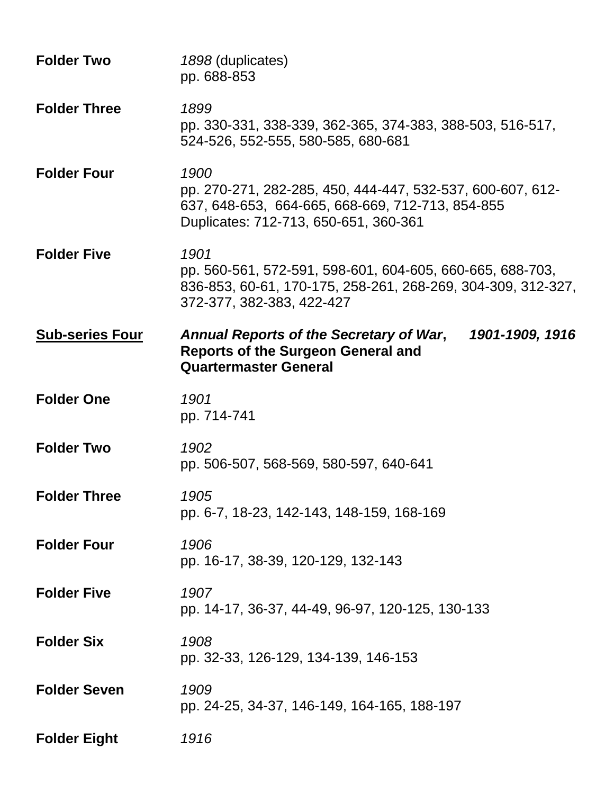| <b>Folder Two</b>      | 1898 (duplicates)<br>pp. 688-853                                                                                                                                |
|------------------------|-----------------------------------------------------------------------------------------------------------------------------------------------------------------|
| <b>Folder Three</b>    | 1899<br>pp. 330-331, 338-339, 362-365, 374-383, 388-503, 516-517,<br>524-526, 552-555, 580-585, 680-681                                                         |
| <b>Folder Four</b>     | 1900<br>pp. 270-271, 282-285, 450, 444-447, 532-537, 600-607, 612-<br>637, 648-653, 664-665, 668-669, 712-713, 854-855<br>Duplicates: 712-713, 650-651, 360-361 |
| <b>Folder Five</b>     | 1901<br>pp. 560-561, 572-591, 598-601, 604-605, 660-665, 688-703,<br>836-853, 60-61, 170-175, 258-261, 268-269, 304-309, 312-327,<br>372-377, 382-383, 422-427  |
| <b>Sub-series Four</b> | 1901-1909, 1916<br>Annual Reports of the Secretary of War,<br><b>Reports of the Surgeon General and</b><br><b>Quartermaster General</b>                         |
| <b>Folder One</b>      | 1901<br>pp. 714-741                                                                                                                                             |
| <b>Folder Two</b>      | 1902<br>pp. 506-507, 568-569, 580-597, 640-641                                                                                                                  |
| <b>Folder Three</b>    | 1905<br>pp. 6-7, 18-23, 142-143, 148-159, 168-169                                                                                                               |
| <b>Folder Four</b>     | 1906<br>pp. 16-17, 38-39, 120-129, 132-143                                                                                                                      |
| <b>Folder Five</b>     | 1907<br>pp. 14-17, 36-37, 44-49, 96-97, 120-125, 130-133                                                                                                        |
| <b>Folder Six</b>      | 1908<br>pp. 32-33, 126-129, 134-139, 146-153                                                                                                                    |
| <b>Folder Seven</b>    | 1909<br>pp. 24-25, 34-37, 146-149, 164-165, 188-197                                                                                                             |
| <b>Folder Eight</b>    | 1916                                                                                                                                                            |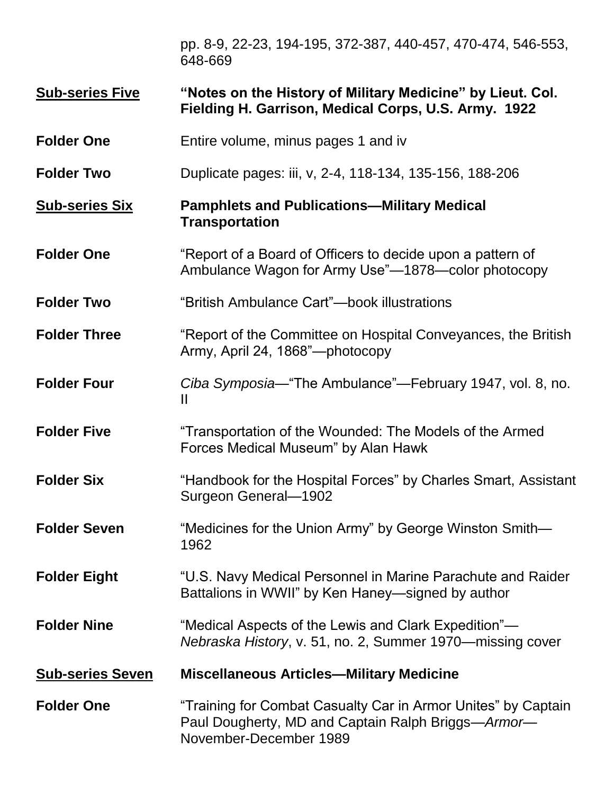pp. 8-9, 22-23, 194-195, 372-387, 440-457, 470-474, 546-553, 648-669

#### **Sub-series Five "Notes on the History of Military Medicine" by Lieut. Col. Fielding H. Garrison, Medical Corps, U.S. Army. 1922**

- **Folder One** Entire volume, minus pages 1 and iv
- **Folder Two** Duplicate pages: iii, v, 2-4, 118-134, 135-156, 188-206

# **Sub-series Six Pamphlets and Publications—Military Medical Transportation**

- **Folder One** "Report of a Board of Officers to decide upon a pattern of Ambulance Wagon for Army Use"—1878—color photocopy
- **Folder Two** "British Ambulance Cart"—book illustrations
- **Folder Three** "Report of the Committee on Hospital Conveyances, the British Army, April 24, 1868"—photocopy
- **Folder Four** *Ciba Symposia*—"The Ambulance"—February 1947, vol. 8, no. II
- **Folder Five** "Transportation of the Wounded: The Models of the Armed Forces Medical Museum" by Alan Hawk
- **Folder Six** "Handbook for the Hospital Forces" by Charles Smart, Assistant Surgeon General—1902
- **Folder Seven** "Medicines for the Union Army" by George Winston Smith— 1962
- **Folder Eight** "U.S. Navy Medical Personnel in Marine Parachute and Raider Battalions in WWII" by Ken Haney—signed by author
- **Folder Nine** "Medical Aspects of the Lewis and Clark Expedition"— *Nebraska History*, v. 51, no. 2, Summer 1970—missing cover
- **Sub-series Seven Miscellaneous Articles—Military Medicine**

**Folder One <b>Collet** Training for Combat Casualty Car in Armor Unites" by Captain Paul Dougherty, MD and Captain Ralph Briggs—*Armor*— November-December 1989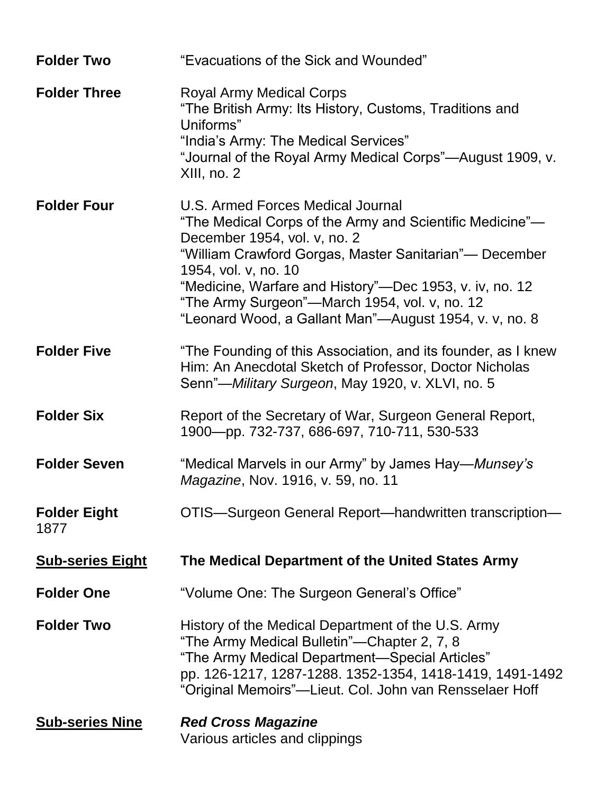| <b>Folder Two</b>           | "Evacuations of the Sick and Wounded"                                                                                                                                                                                                                                                                                                                                                 |
|-----------------------------|---------------------------------------------------------------------------------------------------------------------------------------------------------------------------------------------------------------------------------------------------------------------------------------------------------------------------------------------------------------------------------------|
| <b>Folder Three</b>         | Royal Army Medical Corps<br>"The British Army: Its History, Customs, Traditions and<br>Uniforms"<br>"India's Army: The Medical Services"<br>"Journal of the Royal Army Medical Corps"-August 1909, v.<br>$XIII$ , no. 2                                                                                                                                                               |
| <b>Folder Four</b>          | U.S. Armed Forces Medical Journal<br>"The Medical Corps of the Army and Scientific Medicine"-<br>December 1954, vol. v, no. 2<br>"William Crawford Gorgas, Master Sanitarian"— December<br>1954, vol. v, no. 10<br>"Medicine, Warfare and History"-Dec 1953, v. iv, no. 12<br>"The Army Surgeon"—March 1954, vol. v, no. 12<br>"Leonard Wood, a Gallant Man"—August 1954, v. v, no. 8 |
| <b>Folder Five</b>          | "The Founding of this Association, and its founder, as I knew<br>Him: An Anecdotal Sketch of Professor, Doctor Nicholas<br>Senn"-Military Surgeon, May 1920, v. XLVI, no. 5                                                                                                                                                                                                           |
| <b>Folder Six</b>           | Report of the Secretary of War, Surgeon General Report,<br>1900-pp. 732-737, 686-697, 710-711, 530-533                                                                                                                                                                                                                                                                                |
| <b>Folder Seven</b>         | "Medical Marvels in our Army" by James Hay— <i>Munsey's</i><br>Magazine, Nov. 1916, v. 59, no. 11                                                                                                                                                                                                                                                                                     |
| <b>Folder Eight</b><br>1877 | OTIS-Surgeon General Report-handwritten transcription-                                                                                                                                                                                                                                                                                                                                |
| <b>Sub-series Eight</b>     | The Medical Department of the United States Army                                                                                                                                                                                                                                                                                                                                      |
| <b>Folder One</b>           | "Volume One: The Surgeon General's Office"                                                                                                                                                                                                                                                                                                                                            |
| <b>Folder Two</b>           | History of the Medical Department of the U.S. Army<br>"The Army Medical Bulletin"—Chapter 2, 7, 8<br>"The Army Medical Department—Special Articles"<br>pp. 126-1217, 1287-1288. 1352-1354, 1418-1419, 1491-1492<br>"Original Memoirs"—Lieut. Col. John van Rensselaer Hoff                                                                                                            |
| <b>Sub-series Nine</b>      | <b>Red Cross Magazine</b><br>Various articles and clippings                                                                                                                                                                                                                                                                                                                           |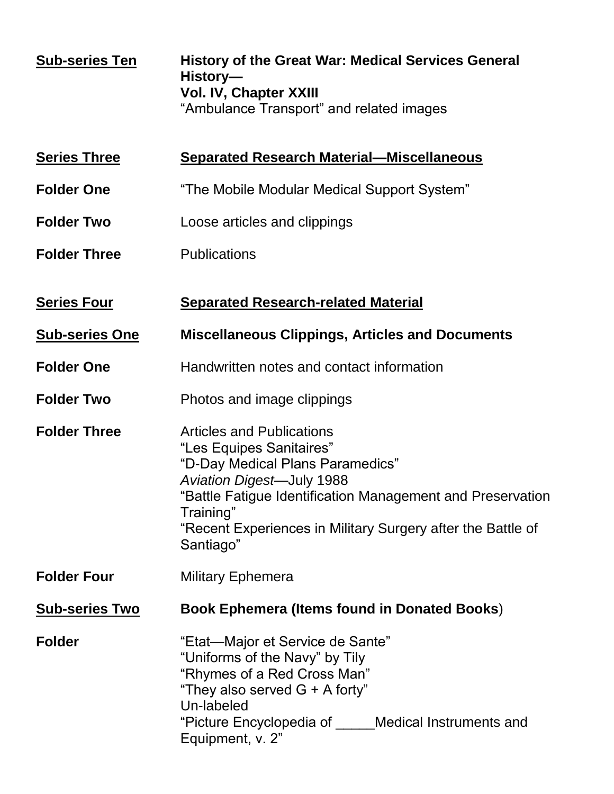| <b>Sub-series Ten</b> | <b>History of the Great War: Medical Services General</b><br>History-<br><b>Vol. IV, Chapter XXIII</b><br>"Ambulance Transport" and related images                                                                                                                                          |
|-----------------------|---------------------------------------------------------------------------------------------------------------------------------------------------------------------------------------------------------------------------------------------------------------------------------------------|
| <b>Series Three</b>   | <b>Separated Research Material-Miscellaneous</b>                                                                                                                                                                                                                                            |
| <b>Folder One</b>     | "The Mobile Modular Medical Support System"                                                                                                                                                                                                                                                 |
| <b>Folder Two</b>     | Loose articles and clippings                                                                                                                                                                                                                                                                |
| <b>Folder Three</b>   | <b>Publications</b>                                                                                                                                                                                                                                                                         |
| <b>Series Four</b>    | <b>Separated Research-related Material</b>                                                                                                                                                                                                                                                  |
| <b>Sub-series One</b> | <b>Miscellaneous Clippings, Articles and Documents</b>                                                                                                                                                                                                                                      |
| <b>Folder One</b>     | Handwritten notes and contact information                                                                                                                                                                                                                                                   |
| <b>Folder Two</b>     | Photos and image clippings                                                                                                                                                                                                                                                                  |
| <b>Folder Three</b>   | <b>Articles and Publications</b><br>"Les Equipes Sanitaires"<br>"D-Day Medical Plans Paramedics"<br><b>Aviation Digest-July 1988</b><br>"Battle Fatigue Identification Management and Preservation<br>Training"<br>"Recent Experiences in Military Surgery after the Battle of<br>Santiago" |
| <b>Folder Four</b>    | <b>Military Ephemera</b>                                                                                                                                                                                                                                                                    |
| <b>Sub-series Two</b> | <b>Book Ephemera (Items found in Donated Books)</b>                                                                                                                                                                                                                                         |
| <b>Folder</b>         | "Etat—Major et Service de Sante"<br>"Uniforms of the Navy" by Tily<br>"Rhymes of a Red Cross Man"<br>"They also served $G + A$ forty"<br>Un-labeled<br>"Picture Encyclopedia of Medical Instruments and<br>Equipment, v. 2"                                                                 |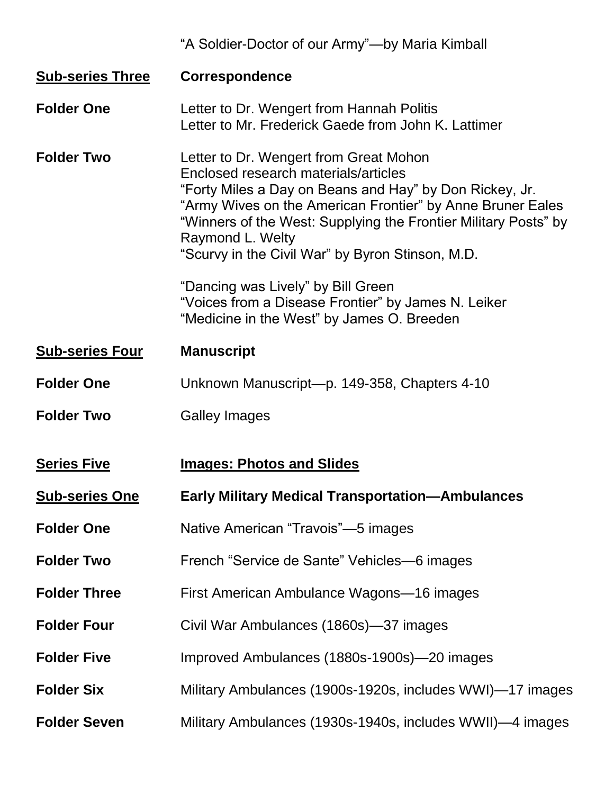|                         | "A Soldier-Doctor of our Army"—by Maria Kimball                                                                                                                                                                                                                                                                                                    |
|-------------------------|----------------------------------------------------------------------------------------------------------------------------------------------------------------------------------------------------------------------------------------------------------------------------------------------------------------------------------------------------|
| <b>Sub-series Three</b> | <b>Correspondence</b>                                                                                                                                                                                                                                                                                                                              |
| <b>Folder One</b>       | Letter to Dr. Wengert from Hannah Politis<br>Letter to Mr. Frederick Gaede from John K. Lattimer                                                                                                                                                                                                                                                   |
| <b>Folder Two</b>       | Letter to Dr. Wengert from Great Mohon<br>Enclosed research materials/articles<br>"Forty Miles a Day on Beans and Hay" by Don Rickey, Jr.<br>"Army Wives on the American Frontier" by Anne Bruner Eales<br>"Winners of the West: Supplying the Frontier Military Posts" by<br>Raymond L. Welty<br>"Scurvy in the Civil War" by Byron Stinson, M.D. |
|                         | "Dancing was Lively" by Bill Green<br>"Voices from a Disease Frontier" by James N. Leiker<br>"Medicine in the West" by James O. Breeden                                                                                                                                                                                                            |
| <b>Sub-series Four</b>  | <b>Manuscript</b>                                                                                                                                                                                                                                                                                                                                  |
| <b>Folder One</b>       | Unknown Manuscript-p. 149-358, Chapters 4-10                                                                                                                                                                                                                                                                                                       |
| <b>Folder Two</b>       | <b>Galley Images</b>                                                                                                                                                                                                                                                                                                                               |
| <b>Series Five</b>      | <b>Images: Photos and Slides</b>                                                                                                                                                                                                                                                                                                                   |
| <b>Sub-series One</b>   | <b>Early Military Medical Transportation-Ambulances</b>                                                                                                                                                                                                                                                                                            |
| <b>Folder One</b>       | Native American "Travois"—5 images                                                                                                                                                                                                                                                                                                                 |
| <b>Folder Two</b>       | French "Service de Sante" Vehicles—6 images                                                                                                                                                                                                                                                                                                        |
| <b>Folder Three</b>     | First American Ambulance Wagons-16 images                                                                                                                                                                                                                                                                                                          |
| <b>Folder Four</b>      | Civil War Ambulances (1860s)-37 images                                                                                                                                                                                                                                                                                                             |
| <b>Folder Five</b>      | Improved Ambulances (1880s-1900s)—20 images                                                                                                                                                                                                                                                                                                        |
| <b>Folder Six</b>       | Military Ambulances (1900s-1920s, includes WWI)-17 images                                                                                                                                                                                                                                                                                          |
| <b>Folder Seven</b>     | Military Ambulances (1930s-1940s, includes WWII)—4 images                                                                                                                                                                                                                                                                                          |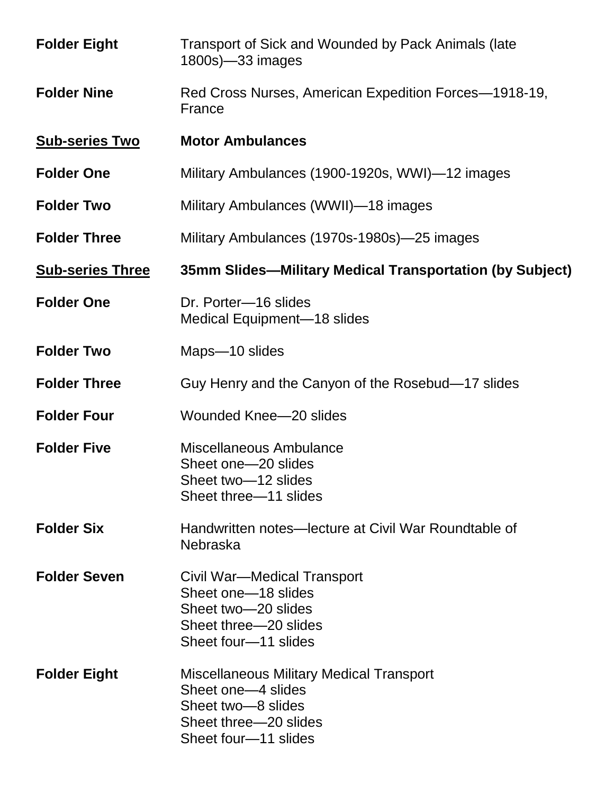| <b>Folder Eight</b>     | Transport of Sick and Wounded by Pack Animals (late<br>1800s)-33 images                                                                      |
|-------------------------|----------------------------------------------------------------------------------------------------------------------------------------------|
| <b>Folder Nine</b>      | Red Cross Nurses, American Expedition Forces-1918-19,<br>France                                                                              |
| <b>Sub-series Two</b>   | <b>Motor Ambulances</b>                                                                                                                      |
| <b>Folder One</b>       | Military Ambulances (1900-1920s, WWI)—12 images                                                                                              |
| <b>Folder Two</b>       | Military Ambulances (WWII)-18 images                                                                                                         |
| <b>Folder Three</b>     | Military Ambulances (1970s-1980s)—25 images                                                                                                  |
| <b>Sub-series Three</b> | 35mm Slides—Military Medical Transportation (by Subject)                                                                                     |
| <b>Folder One</b>       | Dr. Porter-16 slides<br>Medical Equipment-18 slides                                                                                          |
| <b>Folder Two</b>       | Maps-10 slides                                                                                                                               |
| <b>Folder Three</b>     | Guy Henry and the Canyon of the Rosebud–17 slides                                                                                            |
| <b>Folder Four</b>      | <b>Wounded Knee-20 slides</b>                                                                                                                |
| <b>Folder Five</b>      | Miscellaneous Ambulance<br>Sheet one-20 slides<br>Sheet two-12 slides<br>Sheet three–11 slides                                               |
| <b>Folder Six</b>       | Handwritten notes—lecture at Civil War Roundtable of<br>Nebraska                                                                             |
| <b>Folder Seven</b>     | Civil War—Medical Transport<br>Sheet one-18 slides<br>Sheet two-20 slides<br>Sheet three––20 slides<br>Sheet four-11 slides                  |
| <b>Folder Eight</b>     | <b>Miscellaneous Military Medical Transport</b><br>Sheet one-4 slides<br>Sheet two-8 slides<br>Sheet three–20 slides<br>Sheet four-11 slides |